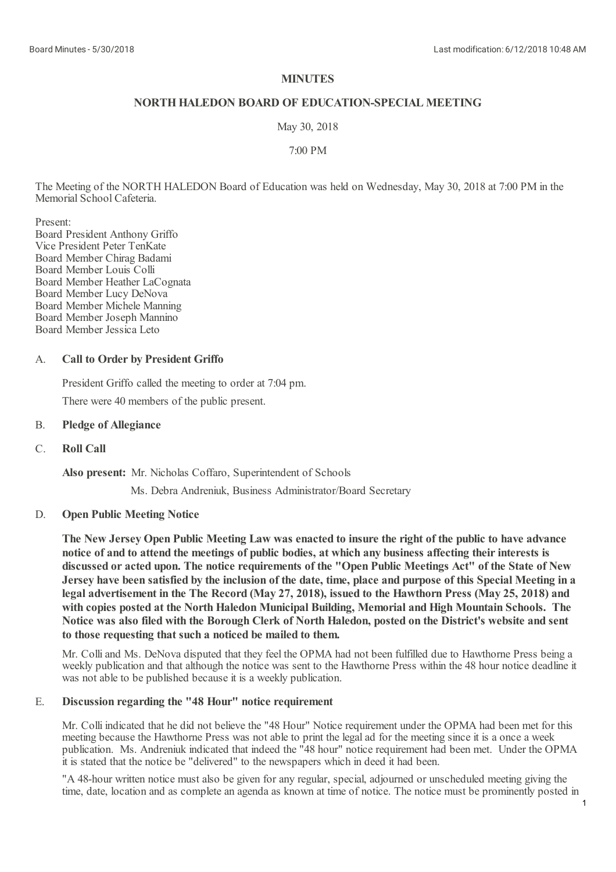# **MINUTES**

# **NORTHHALEDON BOARD OF EDUCATION-SPECIAL MEETING**

May 30, 2018

7:00 PM

The Meeting of the NORTH HALEDON Board of Education was held on Wednesday, May 30, 2018 at 7:00 PM in the Memorial School Cafeteria.

Present:

Board President Anthony Griffo Vice President Peter TenKate Board Member Chirag Badami Board Member Louis Colli Board Member Heather LaCognata Board Member Lucy DeNova Board Member Michele Manning Board Member Joseph Mannino Board Member Jessica Leto

### A. **Call to Order by President Griffo**

President Griffo called the meeting to order at 7:04 pm. There were 40 members of the public present.

## B. **Pledge of Allegiance**

C. **Roll Call**

**Also present:** Mr. Nicholas Coffaro, Superintendent of Schools

Ms. Debra Andreniuk, Business Administrator/Board Secretary

### D. **Open Public Meeting Notice**

The New Jersey Open Public Meeting Law was enacted to insure the right of the public to have advance **notice of and to attend the meetings of public bodies, at which any business affecting theirinterests is** discussed or acted upon. The notice requirements of the "Open Public Meetings Act" of the State of New Jersey have been satisfied by the inclusion of the date, time, place and purpose of this Special Meeting in a legal advertisement in the The Record (May 27, 2018), issued to the Hawthorn Press (May 25, 2018) and **with copies posted at the North Haledon Municipal Building, Memorial and High Mountain Schools. The** Notice was also filed with the Borough Clerk of North Haledon, posted on the District's website and sent **to those requesting that such a noticed be mailed to them.**

Mr. Colliand Ms. DeNova disputed that they feel the OPMA had not been fulfilled due to Hawthorne Press being a weekly publication and that although the notice was sent to the Hawthorne Press within the 48 hour notice deadline it was not able to be published because it is a weekly publication.

### E. **Discussion regarding the "48 Hour" notice requirement**

Mr. Colli indicated that he did not believe the "48 Hour" Notice requirement under the OPMA had been met for this meeting because the Hawthorne Press was not able to print the legalad for the meeting since it is a once a week publication. Ms. Andreniuk indicated that indeed the "48 hour" notice requirement had been met. Under the OPMA it is stated that the notice be "delivered" to the newspapers which in deed it had been.

"A 48-hour written notice must also be given for any regular, special, adjourned or unscheduled meeting giving the time, date, location and as complete an agenda as known at time of notice. The notice must be prominently posted in

1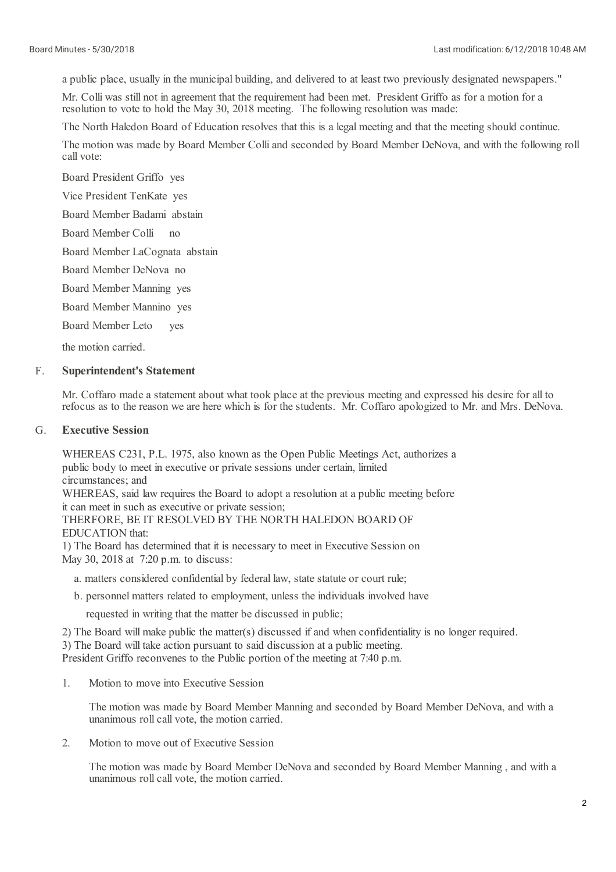a public place, usually in the municipal building, and delivered to at least two previously designated newspapers."

Mr. Colli was still not in agreement that the requirement had been met. President Griffo as for a motion for a resolution to vote to hold the May 30, 2018 meeting. The following resolution was made:

The North Haledon Board of Education resolves that this is a legal meeting and that the meeting should continue.

The motion was made by Board Member Colliand seconded by Board Member DeNova, and with the following roll call vote:

Board President Griffo yes

Vice President TenKate yes

Board Member Badami abstain

Board Member Colli no

Board Member LaCognata abstain

Board Member DeNova no

Board Member Manning yes

Board Member Mannino yes

Board Member Leto yes

the motion carried.

#### F. **Superintendent's Statement**

Mr. Coffaro made a statement about what took place at the previous meeting and expressed his desire for all to refocus as to the reason we are here which is for the students. Mr. Coffaro apologized to Mr. and Mrs. DeNova.

#### G. **Executive Session**

WHEREAS C231, P.L. 1975, also known as the Open Public Meetings Act, authorizes a public body to meet in executive or private sessions under certain, limited circumstances; and WHEREAS, said law requires the Board to adopt a resolution at a public meeting before it can meet in such as executive or private session; THERFORE, BE IT RESOLVED BY THE NORTH HALEDON BOARD OF EDUCATION that:

1) The Board has determined that it is necessary to meet in Executive Session on May 30, 2018 at 7:20 p.m. to discuss:

a. matters considered confidential by federal law, state statute or court rule;

b. personnel matters related to employment, unless the individuals involved have

requested in writing that the matter be discussed in public;

2) The Board will make public the matter(s) discussed if and when confidentiality is no longer required.

3) The Board will take action pursuant to said discussion at a public meeting.

President Griffo reconvenes to the Public portion of the meeting at 7:40 p.m.

1. Motion to move into Executive Session

> The motion was made by Board Member Manning and seconded by Board Member DeNova, and with a unanimous roll call vote, the motion carried.

 $\mathcal{L}$ Motion to move out of Executive Session

> The motion was made by Board Member DeNova and seconded by Board Member Manning , and with a unanimous roll call vote, the motion carried.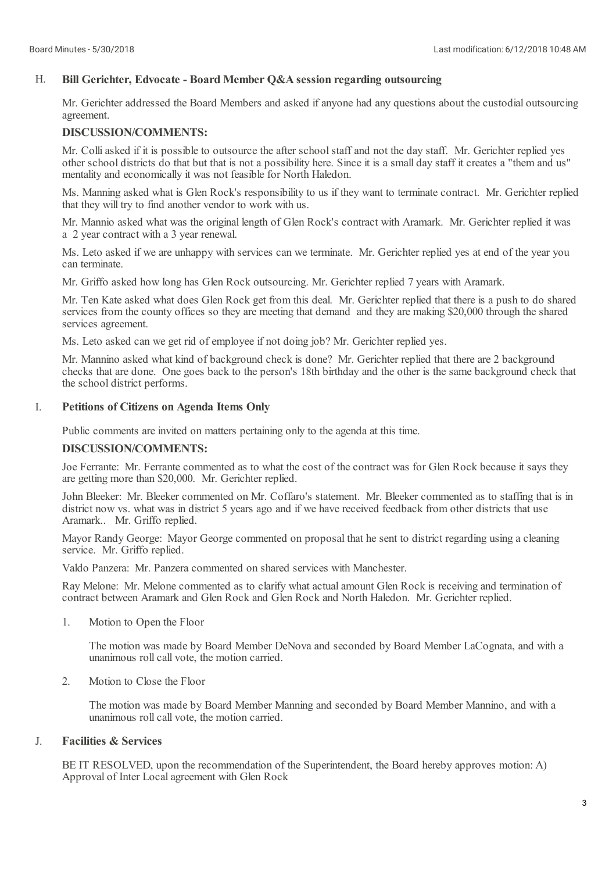### H. **Bill Gerichter, Edvocate - Board Member Q&A session regarding outsourcing**

Mr. Gerichter addressed the Board Members and asked if anyone had any questions about the custodial outsourcing agreement.

# **DISCUSSION/COMMENTS:**

Mr. Colliasked if it is possible to outsource the after school staff and not the day staff. Mr. Gerichter replied yes other school districts do that but that is not a possibility here. Since it is a small day staff it creates a "them and us" mentality and economically it was not feasible for North Haledon.

Ms. Manning asked what is Glen Rock's responsibility to us if they want to terminate contract. Mr. Gerichter replied that they will try to find another vendor to work with us.

Mr. Mannio asked what was the original length of Glen Rock's contract with Aramark. Mr. Gerichter replied it was a 2 year contract with a 3 year renewal.

Ms. Leto asked if we are unhappy with services can we terminate. Mr. Gerichter replied yes at end of the year you can terminate.

Mr. Griffo asked how long has Glen Rock outsourcing. Mr. Gerichter replied 7 years with Aramark.

Mr. Ten Kate asked what does Glen Rock get from this deal. Mr. Gerichter replied that there is a push to do shared services from the county offices so they are meeting that demand and they are making \$20,000 through the shared services agreement.

Ms. Leto asked can we get rid of employee if not doing job? Mr. Gerichter replied yes.

Mr. Mannino asked what kind of background check is done? Mr. Gerichter replied that there are 2 background checks that are done. One goes back to the person's 18th birthday and the other is the same background check that the school district performs.

#### I. **Petitions of Citizens on Agenda Items Only**

Public comments are invited on matters pertaining only to the agenda at this time.

## **DISCUSSION/COMMENTS:**

Joe Ferrante: Mr. Ferrante commented as to what the cost of the contract was for Glen Rock because it says they are getting more than \$20,000. Mr. Gerichter replied.

John Bleeker: Mr. Bleeker commented on Mr. Coffaro's statement. Mr. Bleeker commented as to staffing that is in district now vs. what was in district 5 years ago and if we have received feedback from other districts that use Aramark.. Mr. Griffo replied.

Mayor Randy George: Mayor George commented on proposal that he sent to district regarding using a cleaning service. Mr. Griffo replied.

Valdo Panzera: Mr. Panzera commented on shared services with Manchester.

Ray Melone: Mr. Melone commented as to clarify what actualamount Glen Rock is receiving and termination of contract between Aramark and Glen Rock and Glen Rock and North Haledon. Mr. Gerichter replied.

1. Motion to Open the Floor

> The motion was made by Board Member DeNova and seconded by Board Member LaCognata, and with a unanimous roll call vote, the motion carried.

 $\mathcal{L}$ Motion to Close the Floor

> The motion was made by Board Member Manning and seconded by Board Member Mannino, and with a unanimous roll call vote, the motion carried.

#### J. **Facilities & Services**

BE IT RESOLVED, upon the recommendation of the Superintendent, the Board hereby approves motion: A) Approval of Inter Localagreement with Glen Rock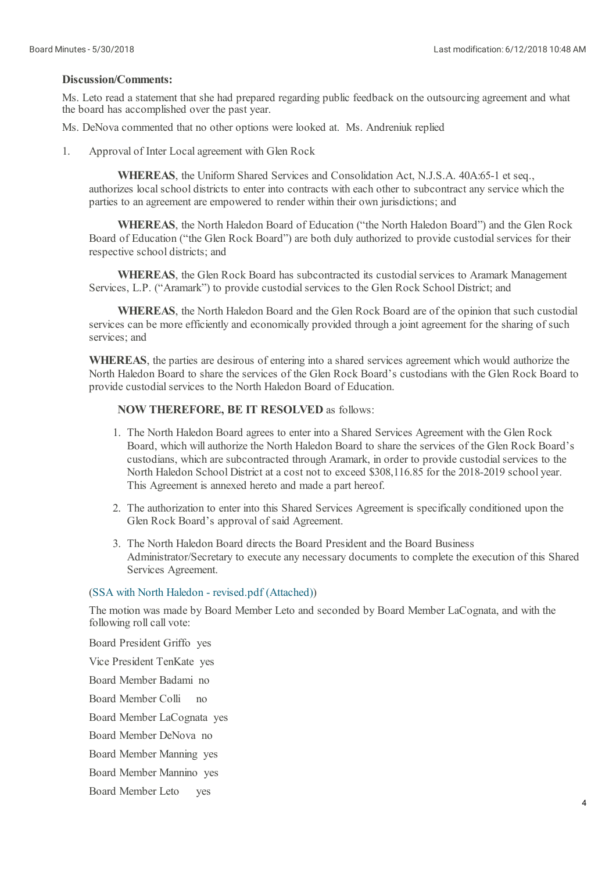## **Discussion/Comments:**

Ms. Leto read a statement that she had prepared regarding public feedback on the outsourcing agreement and what the board has accomplished over the past year.

Ms. DeNova commented that no other options were looked at. Ms. Andreniuk replied

1. Approval of Inter Localagreement with Glen Rock

> **WHEREAS**, the Uniform Shared Services and Consolidation Act, N.J.S.A. 40A:65-1 et seq., authorizes local school districts to enter into contracts with each other to subcontract any service which the parties to an agreement are empowered to render within their own jurisdictions; and

**WHEREAS**, the North Haledon Board of Education ("the North Haledon Board") and the Glen Rock Board of Education ("the Glen Rock Board") are both duly authorized to provide custodial services for their respective school districts; and

**WHEREAS**, the Glen Rock Board has subcontracted its custodial services to Aramark Management Services, L.P. ("Aramark") to provide custodial services to the Glen Rock School District; and

**WHEREAS**, the North Haledon Board and the Glen Rock Board are of the opinion that such custodial services can be more efficiently and economically provided through a joint agreement for the sharing of such services; and

**WHEREAS**, the parties are desirous of entering into a shared services agreement which would authorize the North Haledon Board to share the services of the Glen Rock Board's custodians with the Glen Rock Board to provide custodial services to the North Haledon Board of Education.

### **NOW THEREFORE, BE IT RESOLVED** as follows:

- 1. The North Haledon Board agrees to enter into a Shared Services Agreement with the Glen Rock Board, which willauthorize the North Haledon Board to share the services of the Glen Rock Board's custodians, which are subcontracted through Aramark, in order to provide custodial services to the North Haledon School District at a cost not to exceed \$308,116.85 for the 2018-2019 school year. This Agreement is annexed hereto and made a part hereof.
- 2. The authorization to enter into this Shared Services Agreement is specifically conditioned upon the Glen Rock Board's approval of said Agreement.
- 3. The North Haledon Board directs the Board President and the Board Business Administrator/Secretary to execute any necessary documents to complete the execution of this Shared Services Agreement.

### (SSA with North Haledon - [revised.pdf](https://www.boardconnectnj.com/Item/DownloadAttachment/539) (Attached))

The motion was made by Board Member Leto and seconded by Board Member LaCognata, and with the following roll call vote:

Board President Griffo yes Vice President TenKate yes Board Member Badami no Board Member Colli Board Member LaCognata yes Board Member DeNova no Board Member Manning yes Board Member Mannino yes Board Member Leto no yes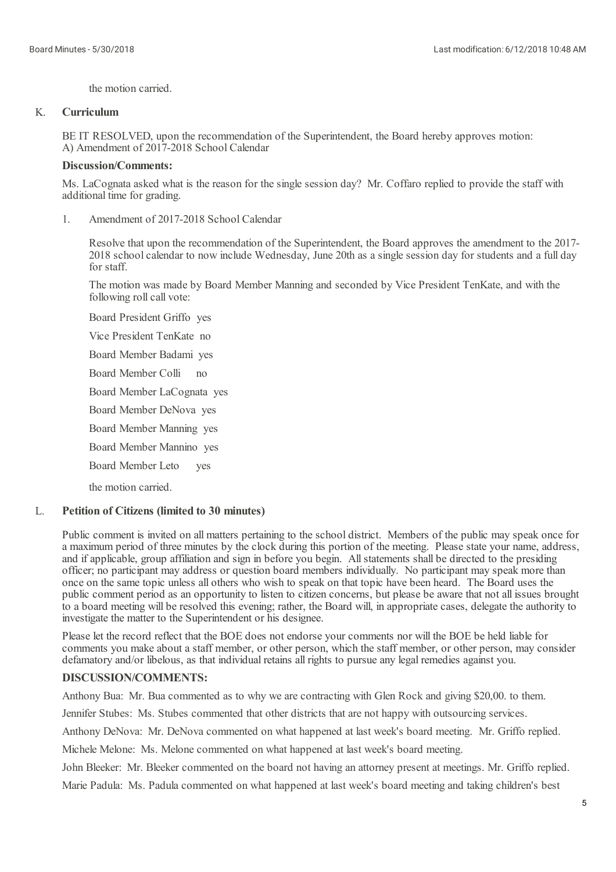the motion carried.

### K. **Curriculum**

BE IT RESOLVED, upon the recommendation of the Superintendent, the Board hereby approves motion: A) Amendment of 2017-2018 School Calendar

## **Discussion/Comments:**

Ms. LaCognata asked what is the reason for the single session day? Mr. Coffaro replied to provide the staff with additional time for grading.

1. Amendment of 2017-2018 School Calendar

> Resolve that upon the recommendation of the Superintendent, the Board approves the amendment to the 2017- 2018 schoolcalendar to now include Wednesday, June 20th as a single session day for students and a full day for staff.

The motion was made by Board Member Manning and seconded by Vice President TenKate, and with the following roll call vote:

Board President Griffo yes Vice President TenKate no

Board Member Badami yes

Board Member Colli  $n<sub>0</sub>$ 

Board Member LaCognata yes

Board Member DeNova yes

Board Member Manning yes

Board Member Mannino yes

Board Member Leto yes

the motion carried.

### L. **Petition of Citizens (limited to 30 minutes)**

Public comment is invited on all matters pertaining to the school district. Members of the public may speak once for a maximum period of three minutes by the clock during this portion of the meeting. Please state your name, address, and if applicable, group affiliation and sign in before you begin. All statements shall be directed to the presiding officer; no participant may address or question board members individually. No participant may speak more than once on the same topic unless all others who wish to speak on that topic have been heard. The Board uses the public comment period as an opportunity to listen to citizen concerns, but please be aware that not all issues brought to a board meeting will be resolved this evening; rather, the Board will, in appropriate cases, delegate the authority to investigate the matter to the Superintendent or his designee.

Please let the record reflect that the BOE does not endorse your comments nor will the BOE be held liable for comments you make about a staff member, or other person, which the staff member, or other person, may consider defamatory and/or libelous, as that individual retains all rights to pursue any legal remedies against you.

# **DISCUSSION/COMMENTS:**

Anthony Bua: Mr. Bua commented as to why we are contracting with Glen Rock and giving \$20,00. to them.

Jennifer Stubes: Ms. Stubes commented that other districts that are not happy with outsourcing services.

Anthony DeNova: Mr. DeNova commented on what happened at last week's board meeting. Mr. Griffo replied.

Michele Melone: Ms. Melone commented on what happened at last week's board meeting.

John Bleeker: Mr. Bleeker commented on the board not having an attorney present at meetings. Mr. Griffo replied.

Marie Padula: Ms. Padula commented on what happened at last week's board meeting and taking children's best